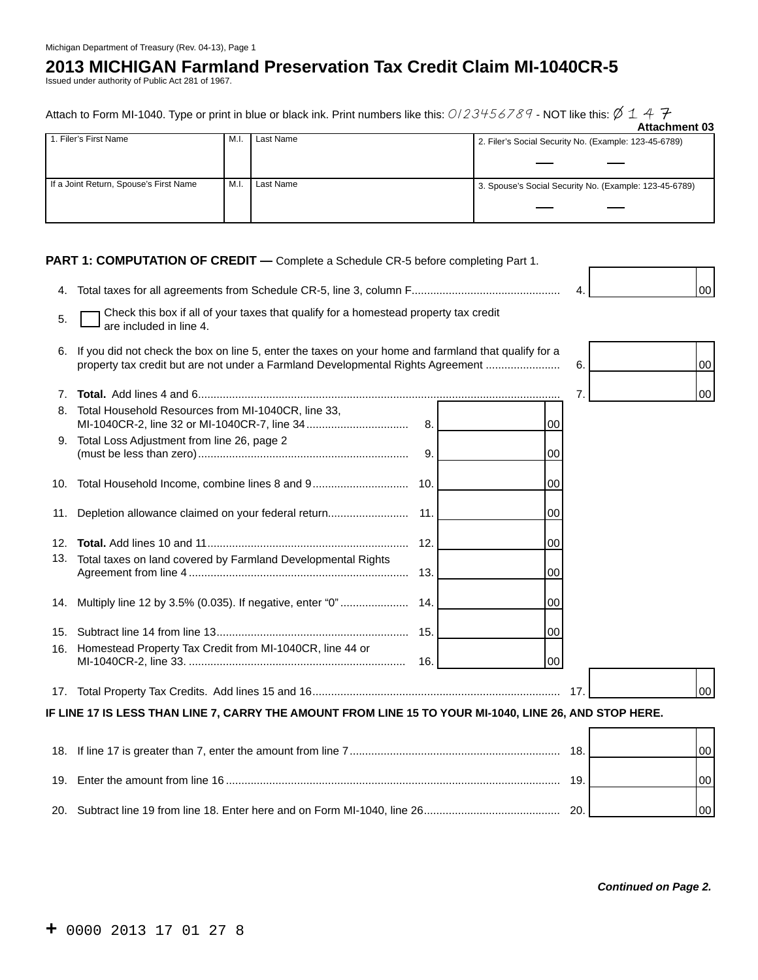## **2013 MICHIGAN Farmland Preservation Tax Credit Claim MI-1040CR-5**

Issued under authority of Public Act 281 of 1967.

| Attach to Form MI-1040. Type or print in blue or black ink. Print numbers like this: $0/23456789$ - NOT like this: $\emptyset$ 1 4 $\mathcal F$ |               |
|-------------------------------------------------------------------------------------------------------------------------------------------------|---------------|
|                                                                                                                                                 | Attachmont 03 |

|                                        |      |           | Allauthilt vu                                          |
|----------------------------------------|------|-----------|--------------------------------------------------------|
| 1. Filer's First Name                  | M.I. | Last Name | 2. Filer's Social Security No. (Example: 123-45-6789)  |
|                                        |      |           |                                                        |
|                                        |      |           |                                                        |
| If a Joint Return, Spouse's First Name | M.I. | Last Name | 3. Spouse's Social Security No. (Example: 123-45-6789) |
|                                        |      |           |                                                        |
|                                        |      |           |                                                        |

**PART 1: COMPUTATION OF CREDIT** - Complete a Schedule CR-5 before completing Part 1.

4. Total taxes for all agreements from Schedule CR-5, line 3, column F................................................ 4. 00



| 5.             | Check this box if all of your taxes that qualify for a homestead property tax credit<br>are included in line 4.                                                                         |      |                 |     |
|----------------|-----------------------------------------------------------------------------------------------------------------------------------------------------------------------------------------|------|-----------------|-----|
| 6.             | If you did not check the box on line 5, enter the taxes on your home and farmland that qualify for a<br>property tax credit but are not under a Farmland Developmental Rights Agreement |      | 6.              | 00  |
| 7 <sub>1</sub> |                                                                                                                                                                                         |      | 7.              | 00  |
| 8.             | Total Household Resources from MI-1040CR, line 33,                                                                                                                                      | 8.   | 00              |     |
| 9.             | Total Loss Adjustment from line 26, page 2                                                                                                                                              | 9.   | $00\,$          |     |
|                | 10. Total Household Income, combine lines 8 and 9                                                                                                                                       | 10.  | 00              |     |
| 11.            | Depletion allowance claimed on your federal return                                                                                                                                      | 11.  | 00              |     |
|                |                                                                                                                                                                                         | 12.  | 00 <sup>1</sup> |     |
| 13.            | Total taxes on land covered by Farmland Developmental Rights                                                                                                                            |      | $00\,$          |     |
|                | 14. Multiply line 12 by 3.5% (0.035). If negative, enter "0"                                                                                                                            | -14. | $00\,$          |     |
|                |                                                                                                                                                                                         | 15.  | 00 <sup>1</sup> |     |
| 16.            | Homestead Property Tax Credit from MI-1040CR, line 44 or                                                                                                                                | 16.  | 00              |     |
|                |                                                                                                                                                                                         |      | 17              | 00  |
|                | IF LINE 17 IS LESS THAN LINE 7, CARRY THE AMOUNT FROM LINE 15 TO YOUR MI-1040, LINE 26, AND STOP HERE.                                                                                  |      |                 |     |
|                |                                                                                                                                                                                         |      |                 | 00  |
|                |                                                                                                                                                                                         |      | 19.             | 100 |

20. Subtract line 19 from line 18. Enter here and on Form MI-1040, line 26............................................ 20. 00